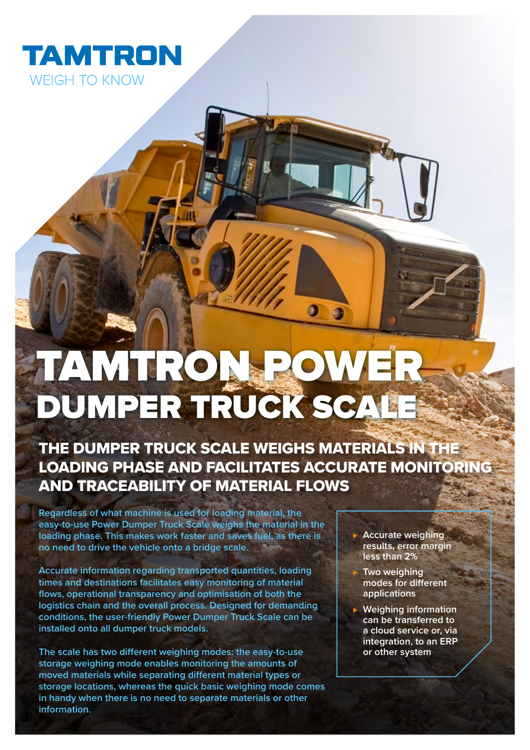

# TAMTRON POWER DUMPER TRUCK SCAL

# THE DUMPER TRUCK SCALE WEIGHS MATERIALS IN THE LOADING PHASE AND FACILITATES ACCURATE MONITORING AND TRACEABILITY OF MATERIAL FLOWS

**Regardless of what machine is used for loading material, the easy-to-use Power Dumper Truck Scale weighs the material in the loading phase. This makes work faster and saves fuel, as there is no need to drive the vehicle onto a bridge scale.** 

**Accurate information regarding transported quantities, loading times and destinations facilitates easy monitoring of material flows, operational transparency and optimisation of both the logistics chain and the overall process. Designed for demanding conditions, the user-friendly Power Dumper Truck Scale can be installed onto all dumper truck models.** 

**The scale has two different weighing modes: the easy-to-use storage weighing mode enables monitoring the amounts of moved materials while separating different material types or storage locations, whereas the quick basic weighing mode comes in handy when there is no need to separate materials or other information.**

- **► Accurate weighing results, error margin less than 2%**
	- ⊲ **Two weighing modes for different applications**
- ⊲ **Weighing information can be transferred to a cloud service or, via integration, to an ERP or other system**